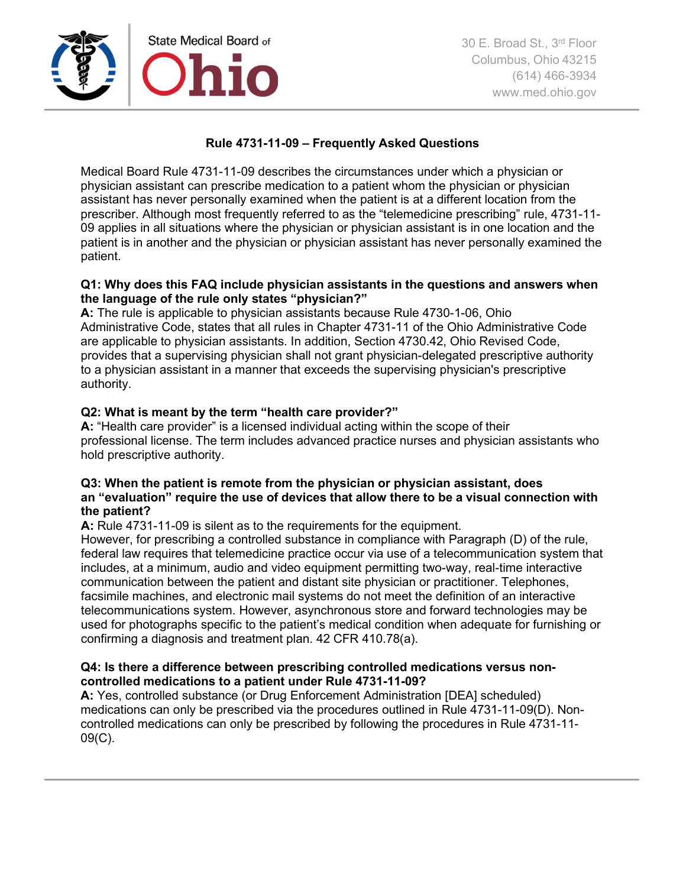

# **Rule 4731-11-09 – Frequently Asked Questions**

Medical Board Rule 4731-11-09 describes the circumstances under which a physician or physician assistant can prescribe medication to a patient whom the physician or physician assistant has never personally examined when the patient is at a different location from the prescriber. Although most frequently referred to as the "telemedicine prescribing" rule, 4731-11- 09 applies in all situations where the physician or physician assistant is in one location and the patient is in another and the physician or physician assistant has never personally examined the patient.

# **Q1: Why does this FAQ include physician assistants in the questions and answers when the language of the rule only states "physician?"**

**A:** The rule is applicable to physician assistants because Rule 4730-1-06, Ohio Administrative Code, states that all rules in Chapter 4731-11 of the Ohio Administrative Code are applicable to physician assistants. In addition, Section 4730.42, Ohio Revised Code, provides that a supervising physician shall not grant physician-delegated prescriptive authority to a physician assistant in a manner that exceeds the supervising physician's prescriptive authority.

# **Q2: What is meant by the term "health care provider?"**

**A:** "Health care provider" is a licensed individual acting within the scope of their professional license. The term includes advanced practice nurses and physician assistants who hold prescriptive authority.

# **Q3: When the patient is remote from the physician or physician assistant, does an "evaluation" require the use of devices that allow there to be a visual connection with the patient?**

**A:** Rule 4731-11-09 is silent as to the requirements for the equipment.

However, for prescribing a controlled substance in compliance with Paragraph (D) of the rule, federal law requires that telemedicine practice occur via use of a telecommunication system that includes, at a minimum, audio and video equipment permitting two-way, real-time interactive communication between the patient and distant site physician or practitioner. Telephones, facsimile machines, and electronic mail systems do not meet the definition of an interactive telecommunications system. However, asynchronous store and forward technologies may be used for photographs specific to the patient's medical condition when adequate for furnishing or confirming a diagnosis and treatment plan. 42 CFR 410.78(a).

### **Q4: Is there a difference between prescribing controlled medications versus noncontrolled medications to a patient under Rule 4731-11-09?**

**A:** Yes, controlled substance (or Drug Enforcement Administration [DEA] scheduled) medications can only be prescribed via the procedures outlined in Rule 4731-11-09(D). Noncontrolled medications can only be prescribed by following the procedures in Rule 4731-11- 09(C).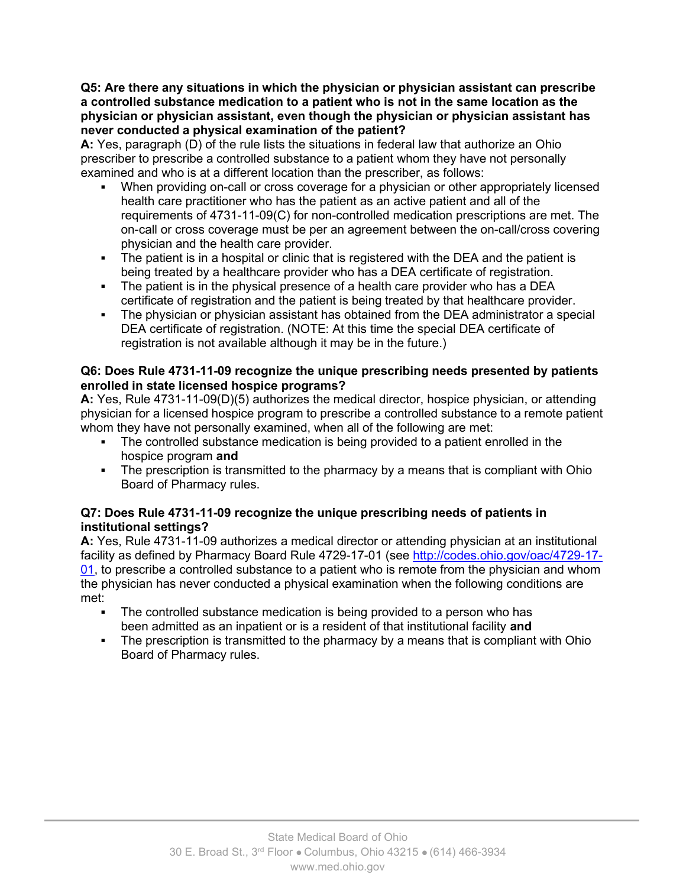### **Q5: Are there any situations in which the physician or physician assistant can prescribe a controlled substance medication to a patient who is not in the same location as the physician or physician assistant, even though the physician or physician assistant has never conducted a physical examination of the patient?**

**A:** Yes, paragraph (D) of the rule lists the situations in federal law that authorize an Ohio prescriber to prescribe a controlled substance to a patient whom they have not personally examined and who is at a different location than the prescriber, as follows:

- When providing on-call or cross coverage for a physician or other appropriately licensed health care practitioner who has the patient as an active patient and all of the requirements of 4731-11-09(C) for non-controlled medication prescriptions are met. The on-call or cross coverage must be per an agreement between the on-call/cross covering physician and the health care provider.
- The patient is in a hospital or clinic that is registered with the DEA and the patient is being treated by a healthcare provider who has a DEA certificate of registration.
- The patient is in the physical presence of a health care provider who has a DEA certificate of registration and the patient is being treated by that healthcare provider.
- The physician or physician assistant has obtained from the DEA administrator a special DEA certificate of registration. (NOTE: At this time the special DEA certificate of registration is not available although it may be in the future.)

# **Q6: Does Rule 4731-11-09 recognize the unique prescribing needs presented by patients enrolled in state licensed hospice programs?**

**A:** Yes, Rule 4731-11-09(D)(5) authorizes the medical director, hospice physician, or attending physician for a licensed hospice program to prescribe a controlled substance to a remote patient whom they have not personally examined, when all of the following are met:

- The controlled substance medication is being provided to a patient enrolled in the hospice program **and**
- The prescription is transmitted to the pharmacy by a means that is compliant with Ohio Board of Pharmacy rules.

# **Q7: Does Rule 4731-11-09 recognize the unique prescribing needs of patients in institutional settings?**

**A:** Yes, Rule 4731-11-09 authorizes a medical director or attending physician at an institutional facility as defined by Pharmacy Board Rule 4729-17-01 (see [http://codes.ohio.gov/oac/4729-17-](http://codes.ohio.gov/oac/4729-17-01) [01,](http://codes.ohio.gov/oac/4729-17-01) to prescribe a controlled substance to a patient who is remote from the physician and whom the physician has never conducted a physical examination when the following conditions are met:

- The controlled substance medication is being provided to a person who has been admitted as an inpatient or is a resident of that institutional facility **and**
- The prescription is transmitted to the pharmacy by a means that is compliant with Ohio Board of Pharmacy rules.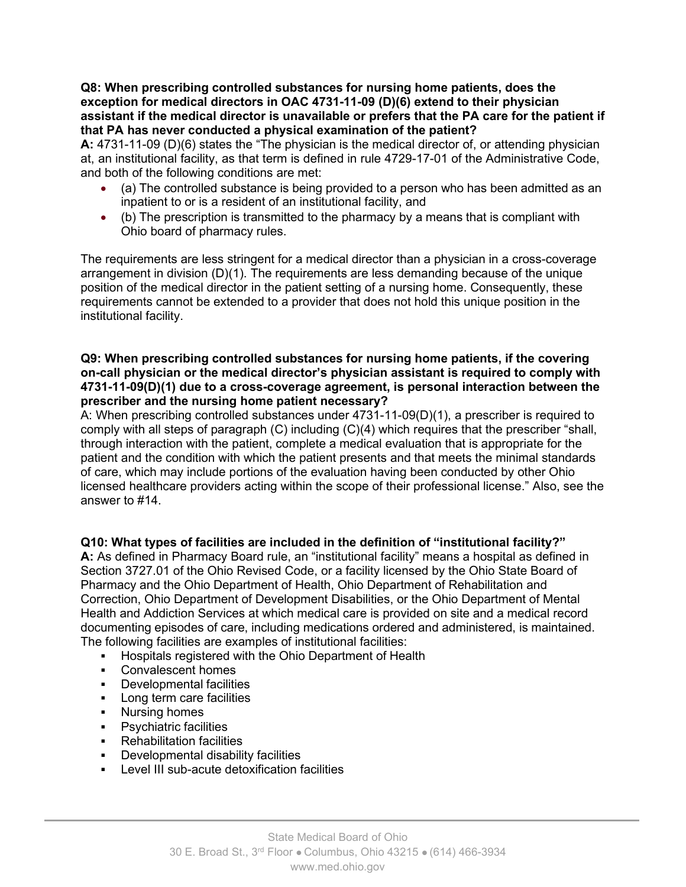**Q8: When prescribing controlled substances for nursing home patients, does the exception for medical directors in OAC 4731-11-09 (D)(6) extend to their physician assistant if the medical director is unavailable or prefers that the PA care for the patient if that PA has never conducted a physical examination of the patient?**

**A:** 4731-11-09 (D)(6) states the "The physician is the medical director of, or attending physician at, an institutional facility, as that term is defined in rule 4729-17-01 of the Administrative Code, and both of the following conditions are met:

- (a) The controlled substance is being provided to a person who has been admitted as an inpatient to or is a resident of an institutional facility, and
- (b) The prescription is transmitted to the pharmacy by a means that is compliant with Ohio board of pharmacy rules.

The requirements are less stringent for a medical director than a physician in a cross-coverage arrangement in division (D)(1). The requirements are less demanding because of the unique position of the medical director in the patient setting of a nursing home. Consequently, these requirements cannot be extended to a provider that does not hold this unique position in the institutional facility.

## **Q9: When prescribing controlled substances for nursing home patients, if the covering on-call physician or the medical director's physician assistant is required to comply with 4731-11-09(D)(1) due to a cross-coverage agreement, is personal interaction between the prescriber and the nursing home patient necessary?**

A: When prescribing controlled substances under 4731-11-09(D)(1), a prescriber is required to comply with all steps of paragraph (C) including (C)(4) which requires that the prescriber "shall, through interaction with the patient, complete a medical evaluation that is appropriate for the patient and the condition with which the patient presents and that meets the minimal standards of care, which may include portions of the evaluation having been conducted by other Ohio licensed healthcare providers acting within the scope of their professional license." Also, see the answer to #14.

# **Q10: What types of facilities are included in the definition of "institutional facility?"**

**A:** As defined in Pharmacy Board rule, an "institutional facility" means a hospital as defined in Section 3727.01 of the Ohio Revised Code, or a facility licensed by the Ohio State Board of Pharmacy and the Ohio Department of Health, Ohio Department of Rehabilitation and Correction, Ohio Department of Development Disabilities, or the Ohio Department of Mental Health and Addiction Services at which medical care is provided on site and a medical record documenting episodes of care, including medications ordered and administered, is maintained. The following facilities are examples of institutional facilities:

- **Hospitals registered with the Ohio Department of Health**
- Convalescent homes
- **•** Developmental facilities
- **Long term care facilities**
- **Nursing homes**
- **•** Psychiatric facilities
- Rehabilitation facilities
- **•** Developmental disability facilities
- **Level III sub-acute detoxification facilities**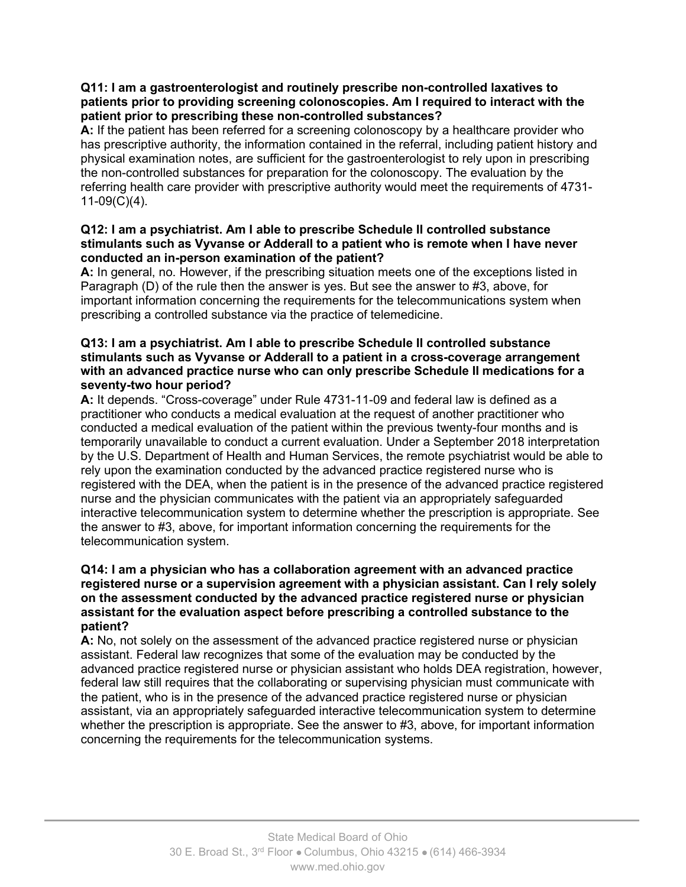## **Q11: I am a gastroenterologist and routinely prescribe non-controlled laxatives to patients prior to providing screening colonoscopies. Am I required to interact with the patient prior to prescribing these non-controlled substances?**

**A:** If the patient has been referred for a screening colonoscopy by a healthcare provider who has prescriptive authority, the information contained in the referral, including patient history and physical examination notes, are sufficient for the gastroenterologist to rely upon in prescribing the non-controlled substances for preparation for the colonoscopy. The evaluation by the referring health care provider with prescriptive authority would meet the requirements of 4731- 11-09(C)(4).

# **Q12: I am a psychiatrist. Am I able to prescribe Schedule II controlled substance stimulants such as Vyvanse or Adderall to a patient who is remote when I have never conducted an in-person examination of the patient?**

**A:** In general, no. However, if the prescribing situation meets one of the exceptions listed in Paragraph (D) of the rule then the answer is yes. But see the answer to #3, above, for important information concerning the requirements for the telecommunications system when prescribing a controlled substance via the practice of telemedicine.

### **Q13: I am a psychiatrist. Am I able to prescribe Schedule II controlled substance stimulants such as Vyvanse or Adderall to a patient in a cross-coverage arrangement with an advanced practice nurse who can only prescribe Schedule II medications for a seventy-two hour period?**

**A:** It depends. "Cross-coverage" under Rule 4731-11-09 and federal law is defined as a practitioner who conducts a medical evaluation at the request of another practitioner who conducted a medical evaluation of the patient within the previous twenty-four months and is temporarily unavailable to conduct a current evaluation. Under a September 2018 interpretation by the U.S. Department of Health and Human Services, the remote psychiatrist would be able to rely upon the examination conducted by the advanced practice registered nurse who is registered with the DEA, when the patient is in the presence of the advanced practice registered nurse and the physician communicates with the patient via an appropriately safeguarded interactive telecommunication system to determine whether the prescription is appropriate. See the answer to #3, above, for important information concerning the requirements for the telecommunication system.

### **Q14: I am a physician who has a collaboration agreement with an advanced practice registered nurse or a supervision agreement with a physician assistant. Can I rely solely on the assessment conducted by the advanced practice registered nurse or physician assistant for the evaluation aspect before prescribing a controlled substance to the patient?**

**A:** No, not solely on the assessment of the advanced practice registered nurse or physician assistant. Federal law recognizes that some of the evaluation may be conducted by the advanced practice registered nurse or physician assistant who holds DEA registration, however, federal law still requires that the collaborating or supervising physician must communicate with the patient, who is in the presence of the advanced practice registered nurse or physician assistant, via an appropriately safeguarded interactive telecommunication system to determine whether the prescription is appropriate. See the answer to #3, above, for important information concerning the requirements for the telecommunication systems.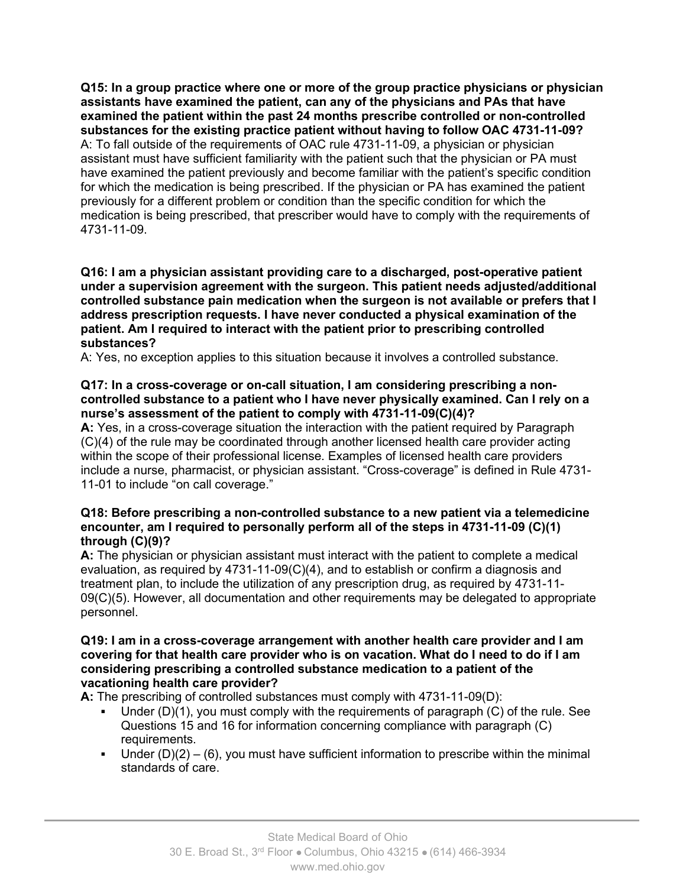**Q15: In a group practice where one or more of the group practice physicians or physician assistants have examined the patient, can any of the physicians and PAs that have examined the patient within the past 24 months prescribe controlled or non-controlled substances for the existing practice patient without having to follow OAC 4731-11-09?** A: To fall outside of the requirements of OAC rule 4731-11-09, a physician or physician assistant must have sufficient familiarity with the patient such that the physician or PA must have examined the patient previously and become familiar with the patient's specific condition for which the medication is being prescribed. If the physician or PA has examined the patient previously for a different problem or condition than the specific condition for which the medication is being prescribed, that prescriber would have to comply with the requirements of 4731-11-09.

#### **Q16: I am a physician assistant providing care to a discharged, post-operative patient under a supervision agreement with the surgeon. This patient needs adjusted/additional controlled substance pain medication when the surgeon is not available or prefers that I address prescription requests. I have never conducted a physical examination of the patient. Am I required to interact with the patient prior to prescribing controlled substances?**

A: Yes, no exception applies to this situation because it involves a controlled substance.

## **Q17: In a cross-coverage or on-call situation, I am considering prescribing a noncontrolled substance to a patient who I have never physically examined. Can I rely on a nurse's assessment of the patient to comply with 4731-11-09(C)(4)?**

**A:** Yes, in a cross-coverage situation the interaction with the patient required by Paragraph (C)(4) of the rule may be coordinated through another licensed health care provider acting within the scope of their professional license. Examples of licensed health care providers include a nurse, pharmacist, or physician assistant. "Cross-coverage" is defined in Rule 4731- 11-01 to include "on call coverage."

#### **Q18: Before prescribing a non-controlled substance to a new patient via a telemedicine encounter, am I required to personally perform all of the steps in 4731-11-09 (C)(1) through (C)(9)?**

**A:** The physician or physician assistant must interact with the patient to complete a medical evaluation, as required by 4731-11-09(C)(4), and to establish or confirm a diagnosis and treatment plan, to include the utilization of any prescription drug, as required by 4731-11- 09(C)(5). However, all documentation and other requirements may be delegated to appropriate personnel.

#### **Q19: I am in a cross-coverage arrangement with another health care provider and I am covering for that health care provider who is on vacation. What do I need to do if I am considering prescribing a controlled substance medication to a patient of the vacationing health care provider?**

**A:** The prescribing of controlled substances must comply with 4731-11-09(D):

- Under (D)(1), you must comply with the requirements of paragraph (C) of the rule. See Questions 15 and 16 for information concerning compliance with paragraph (C) requirements.
- Under  $(D)(2) (6)$ , you must have sufficient information to prescribe within the minimal standards of care.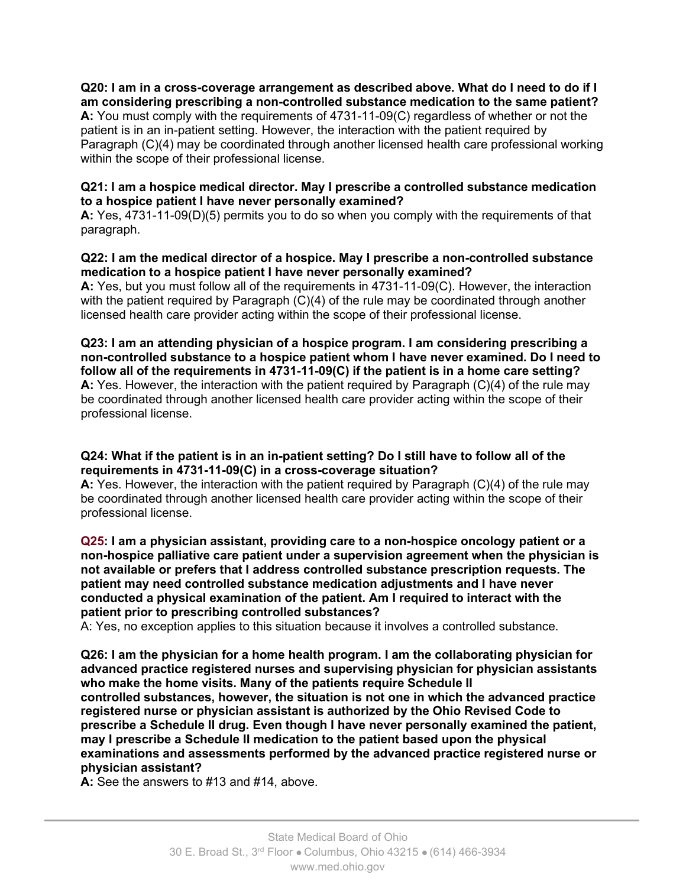# **Q20: I am in a cross-coverage arrangement as described above. What do I need to do if I am considering prescribing a non-controlled substance medication to the same patient?**

**A:** You must comply with the requirements of 4731-11-09(C) regardless of whether or not the patient is in an in-patient setting. However, the interaction with the patient required by Paragraph (C)(4) may be coordinated through another licensed health care professional working within the scope of their professional license.

# **Q21: I am a hospice medical director. May I prescribe a controlled substance medication to a hospice patient I have never personally examined?**

**A:** Yes, 4731-11-09(D)(5) permits you to do so when you comply with the requirements of that paragraph.

## **Q22: I am the medical director of a hospice. May I prescribe a non-controlled substance medication to a hospice patient I have never personally examined?**

**A:** Yes, but you must follow all of the requirements in 4731-11-09(C). However, the interaction with the patient required by Paragraph  $(C)(4)$  of the rule may be coordinated through another licensed health care provider acting within the scope of their professional license.

**Q23: I am an attending physician of a hospice program. I am considering prescribing a non-controlled substance to a hospice patient whom I have never examined. Do I need to follow all of the requirements in 4731-11-09(C) if the patient is in a home care setting? A:** Yes. However, the interaction with the patient required by Paragraph (C)(4) of the rule may be coordinated through another licensed health care provider acting within the scope of their professional license.

# **Q24: What if the patient is in an in-patient setting? Do I still have to follow all of the requirements in 4731-11-09(C) in a cross-coverage situation?**

**A:** Yes. However, the interaction with the patient required by Paragraph (C)(4) of the rule may be coordinated through another licensed health care provider acting within the scope of their professional license.

**Q25: I am a physician assistant, providing care to a non-hospice oncology patient or a non-hospice palliative care patient under a supervision agreement when the physician is not available or prefers that I address controlled substance prescription requests. The patient may need controlled substance medication adjustments and I have never conducted a physical examination of the patient. Am I required to interact with the patient prior to prescribing controlled substances?**

A: Yes, no exception applies to this situation because it involves a controlled substance.

**Q26: I am the physician for a home health program. I am the collaborating physician for advanced practice registered nurses and supervising physician for physician assistants who make the home visits. Many of the patients require Schedule II controlled substances, however, the situation is not one in which the advanced practice registered nurse or physician assistant is authorized by the Ohio Revised Code to prescribe a Schedule II drug. Even though I have never personally examined the patient, may I prescribe a Schedule II medication to the patient based upon the physical examinations and assessments performed by the advanced practice registered nurse or physician assistant?**

**A:** See the answers to #13 and #14, above.